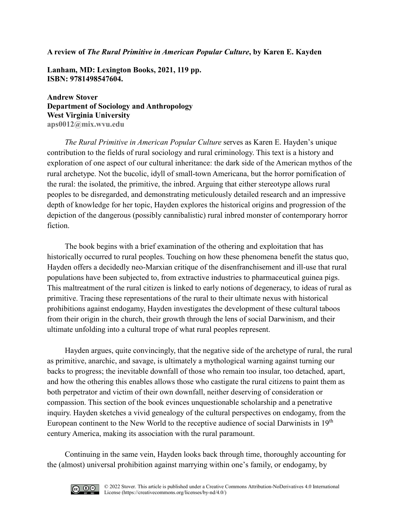## **A review of** *The Rural Primitive in American Popular Culture***, by Karen E. Kayden**

**Lanham, MD: Lexington Books, 2021, 119 pp. ISBN: 9781498547604.** 

**Andrew Stover Department of Sociology and Anthropology West Virginia University [aps0012@mix.wvu.edu](mailto:aps0012@mix.wvu.edu)**

*The Rural Primitive in American Popular Culture* serves as Karen E. Hayden's unique contribution to the fields of rural sociology and rural criminology. This text is a history and exploration of one aspect of our cultural inheritance: the dark side of the American mythos of the rural archetype. Not the bucolic, idyll of small-town Americana, but the horror pornification of the rural: the isolated, the primitive, the inbred. Arguing that either stereotype allows rural peoples to be disregarded, and demonstrating meticulously detailed research and an impressive depth of knowledge for her topic, Hayden explores the historical origins and progression of the depiction of the dangerous (possibly cannibalistic) rural inbred monster of contemporary horror fiction.

The book begins with a brief examination of the othering and exploitation that has historically occurred to rural peoples. Touching on how these phenomena benefit the status quo, Hayden offers a decidedly neo-Marxian critique of the disenfranchisement and ill-use that rural populations have been subjected to, from extractive industries to pharmaceutical guinea pigs. This maltreatment of the rural citizen is linked to early notions of degeneracy, to ideas of rural as primitive. Tracing these representations of the rural to their ultimate nexus with historical prohibitions against endogamy, Hayden investigates the development of these cultural taboos from their origin in the church, their growth through the lens of social Darwinism, and their ultimate unfolding into a cultural trope of what rural peoples represent.

Hayden argues, quite convincingly, that the negative side of the archetype of rural, the rural as primitive, anarchic, and savage, is ultimately a mythological warning against turning our backs to progress; the inevitable downfall of those who remain too insular, too detached, apart, and how the othering this enables allows those who castigate the rural citizens to paint them as both perpetrator and victim of their own downfall, neither deserving of consideration or compassion. This section of the book evinces unquestionable scholarship and a penetrative inquiry. Hayden sketches a vivid genealogy of the cultural perspectives on endogamy, from the European continent to the New World to the receptive audience of social Darwinists in 19<sup>th</sup> century America, making its association with the rural paramount.

Continuing in the same vein, Hayden looks back through time, thoroughly accounting for the (almost) universal prohibition against marrying within one's family, or endogamy, by